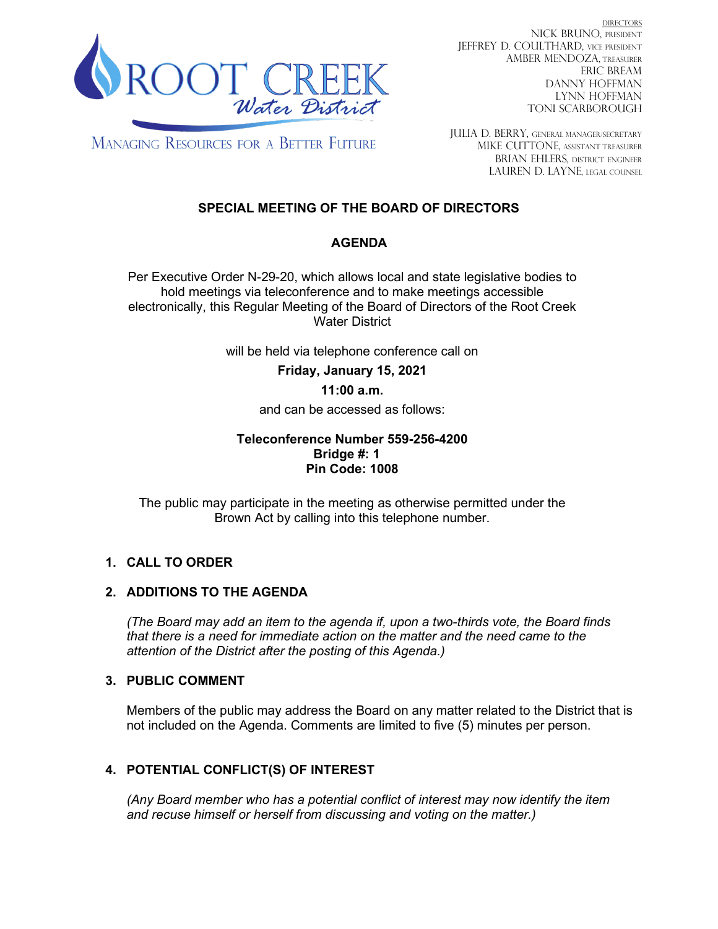

DIRECTORS NICK BRUNO, PRESIDENT JEFFREY D. COULTHARD, Vice President AMBER MENDOZA, TREASURER ERIC BREAM DANNY HOFFMAN LYNN HOFFMAN TONI SCARBOROUGH

**MANAGING RESOURCES FOR A BETTER FUTURE** 

JULIA D. BERRY, GENERAL MANAGER/secretary MIKE CUTTONE, Assistant treasurer BRIAN EHLERS, DISTRICT ENGINEER LAUREN D. LAYNE, LEGAL COUNSEL

# **SPECIAL MEETING OF THE BOARD OF DIRECTORS**

# **AGENDA**

Per Executive Order N-29-20, which allows local and state legislative bodies to hold meetings via teleconference and to make meetings accessible electronically, this Regular Meeting of the Board of Directors of the Root Creek Water District

will be held via telephone conference call on

**Friday, January 15, 2021**

#### **11:00 a.m.**

and can be accessed as follows:

#### **Teleconference Number 559-256-4200 Bridge #: 1 Pin Code: 1008**

The public may participate in the meeting as otherwise permitted under the Brown Act by calling into this telephone number.

# **1. CALL TO ORDER**

# **2. ADDITIONS TO THE AGENDA**

*(The Board may add an item to the agenda if, upon a two-thirds vote, the Board finds that there is a need for immediate action on the matter and the need came to the attention of the District after the posting of this Agenda.)*

# **3. PUBLIC COMMENT**

Members of the public may address the Board on any matter related to the District that is not included on the Agenda. Comments are limited to five (5) minutes per person.

# **4. POTENTIAL CONFLICT(S) OF INTEREST**

*(Any Board member who has a potential conflict of interest may now identify the item and recuse himself or herself from discussing and voting on the matter.)*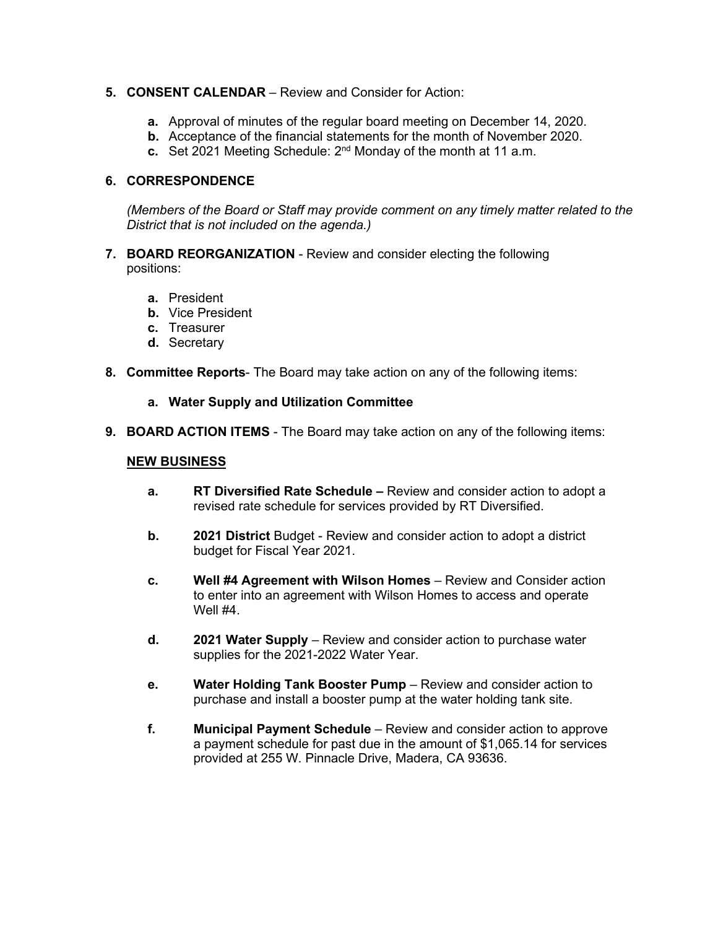#### **5. CONSENT CALENDAR** – Review and Consider for Action:

- **a.** Approval of minutes of the regular board meeting on December 14, 2020.
- **b.** Acceptance of the financial statements for the month of November 2020.
- **c.** Set 2021 Meeting Schedule: 2nd Monday of the month at 11 a.m.

# **6. CORRESPONDENCE**

*(Members of the Board or Staff may provide comment on any timely matter related to the District that is not included on the agenda.)*

- **7. BOARD REORGANIZATION** Review and consider electing the following positions:
	- **a.** President
	- **b.** Vice President
	- **c.** Treasurer
	- **d.** Secretary
- **8. Committee Reports** The Board may take action on any of the following items:

#### **a. Water Supply and Utilization Committee**

**9. BOARD ACTION ITEMS** - The Board may take action on any of the following items:

#### **NEW BUSINESS**

- **a. RT Diversified Rate Schedule –** Review and consider action to adopt a revised rate schedule for services provided by RT Diversified.
- **b. 2021 District** Budget Review and consider action to adopt a district budget for Fiscal Year 2021.
- **c. Well #4 Agreement with Wilson Homes** Review and Consider action to enter into an agreement with Wilson Homes to access and operate Well #4.
- **d. 2021 Water Supply** Review and consider action to purchase water supplies for the 2021-2022 Water Year.
- **e. Water Holding Tank Booster Pump** Review and consider action to purchase and install a booster pump at the water holding tank site.
- **f. Municipal Payment Schedule** Review and consider action to approve a payment schedule for past due in the amount of \$1,065.14 for services provided at 255 W. Pinnacle Drive, Madera, CA 93636.